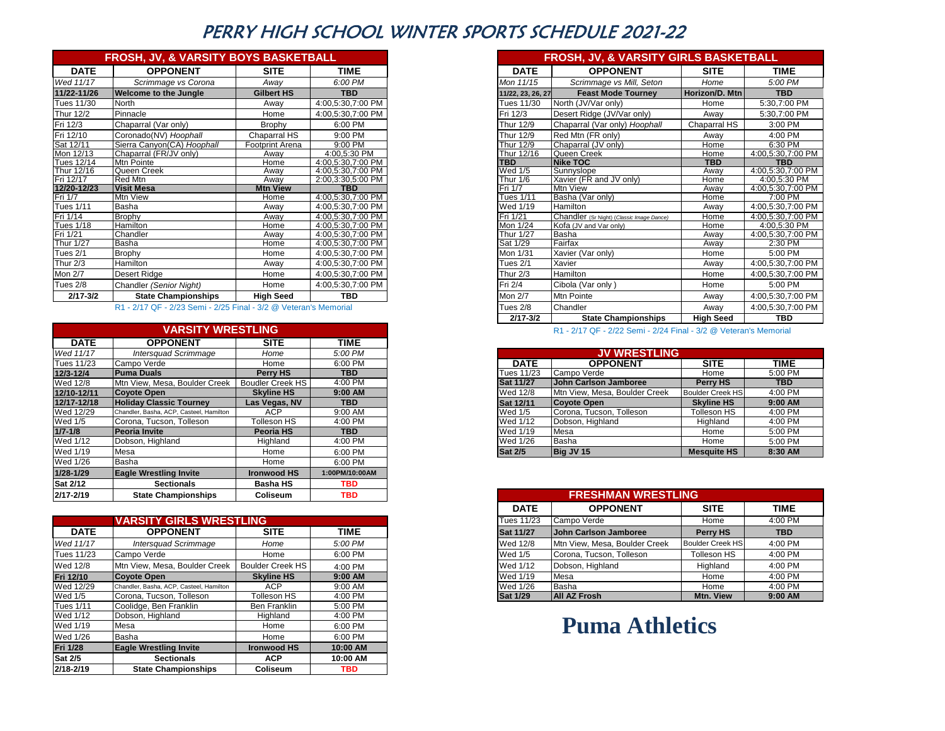### PERRY HIGH SCHOOL WINTER SPORTS SCHEDULE 2021-22

|                  | <b>FROSH, JV, &amp; VARSITY BOYS BASKETBALL</b> |                        |                   |
|------------------|-------------------------------------------------|------------------------|-------------------|
| <b>DATE</b>      | <b>OPPONENT</b>                                 | <b>SITE</b>            | <b>TIME</b>       |
| Wed 11/17        | Scrimmage vs Corona                             | Away                   | 6:00 PM           |
| 11/22-11/26      | <b>Welcome to the Jungle</b>                    | <b>Gilbert HS</b>      | <b>TBD</b>        |
| Tues 11/30       | North                                           | Away                   | 4:00,5:30,7:00 PM |
| Thur 12/2        | Pinnacle                                        | Home                   | 4:00,5:30,7:00 PM |
| Fri 12/3         | Chaparral (Var only)                            | Brophy                 | 6:00 PM           |
| Fri 12/10        | Coronado(NV) Hoophall                           | Chaparral HS           | 9:00 PM           |
| Sat 12/11        | Sierra Canyon(CA) Hoophall                      | <b>Footprint Arena</b> | 9:00 PM           |
| Mon 12/13        | Chaparral (FR/JV only)                          | Awav                   | 4:00,5:30 PM      |
| Tues 12/14       | Mtn Pointe                                      | Home                   | 4:00,5:30,7:00 PM |
| Thur 12/16       | Queen Creek                                     | Away                   | 4:00,5:30,7:00 PM |
| Fri 12/17        | Red Mtn                                         | Away                   | 2:00,3:30,5:00 PM |
| 12/20-12/23      | <b>Visit Mesa</b>                               | <b>Mtn View</b>        | <b>TBD</b>        |
| Fri 1/7          | <b>Mtn View</b>                                 | Home                   | 4:00,5:30,7:00 PM |
| Tues 1/11        | Basha                                           | Away                   | 4:00,5:30,7:00 PM |
| Fri 1/14         | <b>Brophy</b>                                   | Away                   | 4:00.5:30.7:00 PM |
| <b>Tues 1/18</b> | Hamilton                                        | Home                   | 4:00,5:30,7:00 PM |
| Fri 1/21         | Chandler                                        | Away                   | 4:00,5:30,7:00 PM |
| <b>Thur 1/27</b> | Basha                                           | Home                   | 4:00,5:30,7:00 PM |
| Tues 2/1         | Brophy                                          | Home                   | 4:00,5:30,7:00 PM |
| <b>Thur 2/3</b>  | Hamilton                                        | Away                   | 4:00,5:30,7:00 PM |
| <b>Mon 2/7</b>   | <b>Desert Ridge</b>                             | Home                   | 4:00,5:30,7:00 PM |
| Tues 2/8         | Chandler (Senior Night)                         | Home                   | 4:00,5:30,7:00 PM |
| $2/17 - 3/2$     | <b>State Championships</b>                      | <b>High Seed</b>       | TBD               |
|                  |                                                 |                        |                   |

#### R1 - 2/17 QF - 2/23 Semi - 2/25 Final - 3/2 @ Veteran's Memorial

|                 | <b>VARSITY WRESTLING</b>                |                    |                |
|-----------------|-----------------------------------------|--------------------|----------------|
| <b>DATE</b>     | <b>OPPONENT</b>                         | <b>SITE</b>        | TIME           |
| Wed 11/17       | <b>Intersquad Scrimmage</b>             | Home               | 5:00 PM        |
| Tues 11/23      | Campo Verde                             | Home               | 6:00 PM        |
| 12/3-12/4       | <b>Puma Duals</b>                       | Perry HS           | <b>TBD</b>     |
| Wed 12/8        | Mtn View, Mesa, Boulder Creek           | Boudler Creek HS   | 4:00 PM        |
| 12/10-12/11     | Coyote Open                             | <b>Skyline HS</b>  | 9:00 AM        |
| 12/17-12/18     | <b>Holiday Classic Tourney</b>          | Las Vegas, NV      | <b>TBD</b>     |
| Wed 12/29       | Chandler, Basha, ACP, Casteel, Hamilton | <b>ACP</b>         | 9:00 AM        |
| Wed 1/5         | Corona, Tucson, Tolleson                | Tolleson HS        | 4:00 PM        |
| $1/7 - 1/8$     | <b>Peoria Invite</b>                    | Peoria HS          | TBD.           |
| Wed 1/12        | Dobson, Highland                        | Highland           | 4:00 PM        |
| Wed 1/19        | Mesa                                    | Home               | 6:00 PM        |
| Wed 1/26        | Basha                                   | Home               | 6:00 PM        |
| 1/28-1/29       | <b>Eagle Wrestling Invite</b>           | <b>Ironwood HS</b> | 1:00PM/10:00AM |
| <b>Sat 2/12</b> | <b>Sectionals</b>                       | <b>Basha HS</b>    | TBD.           |
| 2/17-2/19       | <b>State Championships</b>              | <b>Coliseum</b>    | <b>TBD</b>     |

|                  | <b>GIRLS WRESTLING</b><br><b>VARSITY</b> |                    |          |
|------------------|------------------------------------------|--------------------|----------|
| <b>DATE</b>      | <b>OPPONENT</b>                          | <b>SITE</b>        | TIME     |
| Wed 11/17        | <b>Intersauad Scrimmage</b>              | Home               | 5:00 PM  |
| Tues 11/23       | Campo Verde                              | Home               | 6:00 PM  |
| Wed 12/8         | Mtn View. Mesa. Boulder Creek            | Boulder Creek HS   | 4:00 PM  |
| Fri 12/10        | Covote Open                              | <b>Skyline HS</b>  | 9:00 AM  |
| Wed 12/29        | Chandler, Basha, ACP, Casteel, Hamilton  | <b>ACP</b>         | 9:00 AM  |
| Wed 1/5          | Corona, Tucson, Tolleson                 | Tolleson HS        | 4:00 PM  |
| <b>Tues 1/11</b> | Coolidge, Ben Franklin                   | Ben Franklin       | 5:00 PM  |
| Wed 1/12         | Dobson, Highland                         | Highland           | 4:00 PM  |
| Wed 1/19         | Mesa                                     | Home               | 6:00 PM  |
| Wed 1/26         | Basha                                    | Home               | 6:00 PM  |
| <b>Fri 1/28</b>  | <b>Eagle Wrestling Invite</b>            | <b>Ironwood HS</b> | 10:00 AM |
| <b>Sat 2/5</b>   | <b>Sectionals</b>                        | ACP.               | 10:00 AM |
| 2/18-2/19        | <b>State Championships</b>               | <b>Coliseum</b>    | TBD      |

|                   | <b>FROSH, JV, &amp; VARSITY BOYS BASKETBALL</b>                  |                   |                   |
|-------------------|------------------------------------------------------------------|-------------------|-------------------|
| <b>DATE</b>       | <b>OPPONENT</b>                                                  | <b>SITE</b>       | TIME              |
| d 11/17           | Scrimmage vs Corona                                              | Awav              | 6:00 PM           |
| 22-11/26          | Welcome to the Jungle                                            | <b>Gilbert HS</b> | <b>TBD</b>        |
| s 11/30           | North                                                            | Awav              | 4:00,5:30,7:00 PM |
| r 12/2            | Pinnacle                                                         | Home              | 4:00,5:30,7:00 PM |
| 12/3              | Chaparral (Var only)                                             | <b>Brophy</b>     | 6:00 PM           |
| 12/10             | Coronado(NV) Hoophall                                            | Chaparral HS      | $9:00$ PM         |
| 12/11             | Sierra Canyon(CA) Hoophall                                       | Footprint Arena   | $9:00$ PM         |
| າ 12/13           | Chaparral (FR/JV only)                                           | Away              | 4:00,5:30 PM      |
| s 12/14           | Mtn Pointe                                                       | Home              | 4:00,5:30,7:00 PM |
| r 12/16           | Queen Creek                                                      | Away              | 4:00,5:30,7:00 PM |
| 12/17             | Red Mtn                                                          | Awav              | 2:00,3:30,5:00 PM |
| 20-12/23<br>1/7   | <b>Visit Mesa</b>                                                | <b>Mtn View</b>   | <b>TBD</b>        |
|                   | Mtn View                                                         | Home              | 4:00,5:30,7:00 PM |
| s 1/11            | Basha                                                            | Awav              | 4:00,5:30,7:00 PM |
| 1/14              | Brophy                                                           | Away              | 4:00,5:30,7:00 PM |
| s <sub>1/18</sub> | Hamilton                                                         | Home              | 4:00,5:30,7:00 PM |
| 1/21              | Chandler                                                         | Away              | 4:00,5:30,7:00 PM |
| r 1/27            | Basha                                                            | Home              | 4:00,5:30,7:00 PM |
| s 2/1             | <b>Brophy</b>                                                    | Home              | 4:00,5:30,7:00 PM |
| r 2/3             | Hamilton                                                         | Away              | 4:00,5:30,7:00 PM |
| $\overline{2/7}$  | Desert Ridge                                                     | Home              | 4:00,5:30,7:00 PM |
| s 2/8             | Chandler (Senior Night)                                          | Home              | 4:00,5:30,7:00 PM |
| 2/17-3/2          | <b>State Championships</b>                                       | <b>High Seed</b>  | TBD               |
|                   | R1 - 2/17 QF - 2/23 Semi - 2/25 Final - 3/2 @ Veteran's Memorial |                   |                   |
|                   |                                                                  |                   |                   |

|                  | <b>JV WRESTLING</b>           |                         |            |
|------------------|-------------------------------|-------------------------|------------|
| <b>DATE</b>      | <b>OPPONENT</b>               | <b>SITE</b>             | TIME       |
| Tues 11/23       | Campo Verde                   | Home                    | 5:00 PM    |
| <b>Sat 11/27</b> | <b>John Carlson Jamboree</b>  | <b>Perry HS</b>         | <b>TBD</b> |
| Wed 12/8         | Mtn View, Mesa, Boulder Creek | <b>Boulder Creek HS</b> | 4:00 PM    |
| Sat 12/11        | <b>Coyote Open</b>            | <b>Skyline HS</b>       | 9:00 AM    |
| Wed 1/5          | Corona, Tucson, Tolleson      | Tolleson HS             | $4:00$ PM  |
| Wed 1/12         | Dobson, Highland              | Highland                | 4:00 PM    |
| Wed 1/19         | Mesa                          | Home                    | 5:00 PM    |
| Wed 1/26         | Basha                         | Home                    | 5:00 PM    |
| <b>Sat 2/5</b>   | Big JV 15                     | <b>Mesquite HS</b>      | 8:30 AM    |

| <b>State Championships</b>              | Coliseum          | TBD         |
|-----------------------------------------|-------------------|-------------|
|                                         |                   |             |
| <b>VARSITY GIRLS WRESTLING</b>          |                   |             |
| <b>OPPONENT</b>                         | <b>SITE</b>       | <b>TIME</b> |
| <b>Intersquad Scrimmage</b>             | Home              | 5:00 PM     |
| Campo Verde                             | Home              | 6:00 PM     |
| Mtn View, Mesa, Boulder Creek           | Boulder Creek HS  | 4:00 PM     |
| Coyote Open                             | <b>Skyline HS</b> | $9:00$ AM   |
| Chandler, Basha, ACP, Casteel, Hamilton | ACP               | 9:00 AM     |
| Corona. Tucson. Tolleson                | Tolleson HS       | 4:00 PM     |
|                                         |                   |             |

## **Puma Athletics**